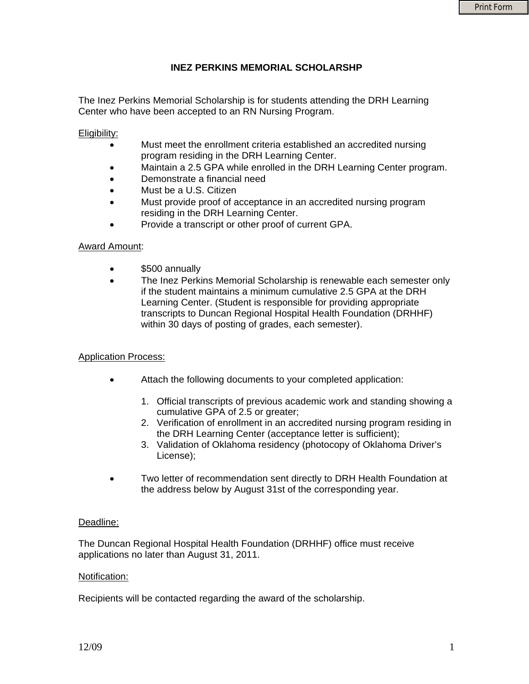# **INEZ PERKINS MEMORIAL SCHOLARSHP**

The Inez Perkins Memorial Scholarship is for students attending the DRH Learning Center who have been accepted to an RN Nursing Program.

## Eligibility:

- Must meet the enrollment criteria established an accredited nursing program residing in the DRH Learning Center.
	- Maintain a 2.5 GPA while enrolled in the DRH Learning Center program.
- Demonstrate a financial need
- Must be a U.S. Citizen
- Must provide proof of acceptance in an accredited nursing program residing in the DRH Learning Center.
- Provide a transcript or other proof of current GPA.

## Award Amount:

- \$500 annually
- The Inez Perkins Memorial Scholarship is renewable each semester only if the student maintains a minimum cumulative 2.5 GPA at the DRH Learning Center. (Student is responsible for providing appropriate transcripts to Duncan Regional Hospital Health Foundation (DRHHF) within 30 days of posting of grades, each semester).

#### Application Process:

- Attach the following documents to your completed application:
	- 1. Official transcripts of previous academic work and standing showing a cumulative GPA of 2.5 or greater;
	- 2. Verification of enrollment in an accredited nursing program residing in the DRH Learning Center (acceptance letter is sufficient);
	- 3. Validation of Oklahoma residency (photocopy of Oklahoma Driver's License);
- Two letter of recommendation sent directly to DRH Health Foundation at the address below by August 31st of the corresponding year.

#### Deadline:

The Duncan Regional Hospital Health Foundation (DRHHF) office must receive applications no later than August 31, 2011.

#### Notification:

Recipients will be contacted regarding the award of the scholarship.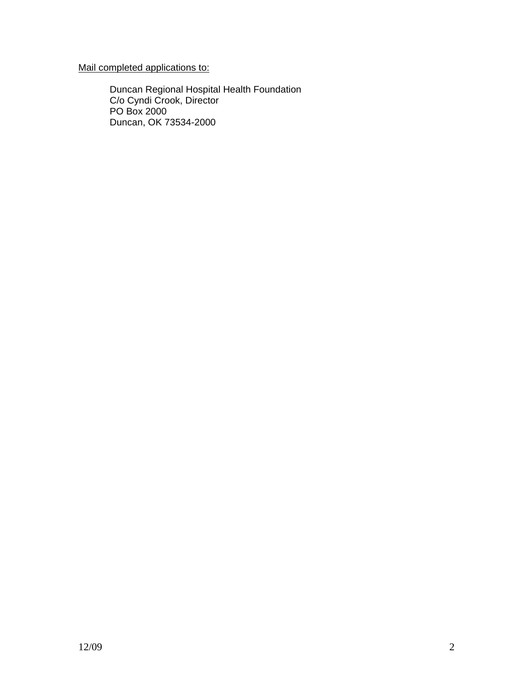Mail completed applications to:

Duncan Regional Hospital Health Foundation C/o Cyndi Crook, Director PO Box 2000 Duncan, OK 73534-2000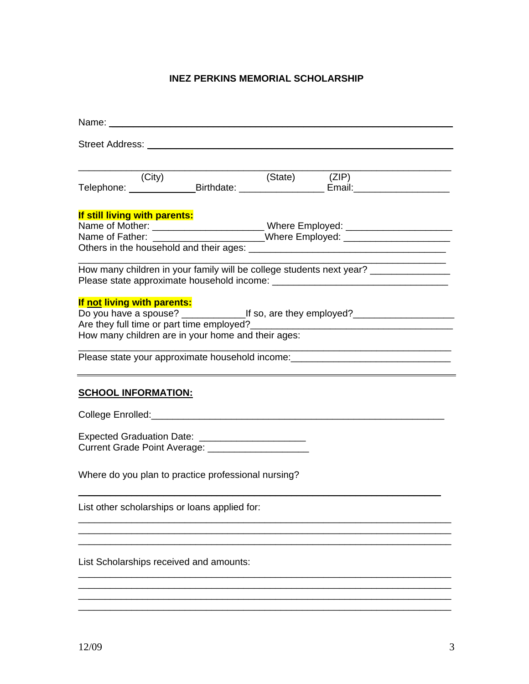# **INEZ PERKINS MEMORIAL SCHOLARSHIP**

| Name: when the contract of the contract of the contract of the contract of the contract of the contract of the                                                        |                                                     |
|-----------------------------------------------------------------------------------------------------------------------------------------------------------------------|-----------------------------------------------------|
|                                                                                                                                                                       |                                                     |
| (City)                                                                                                                                                                |                                                     |
| If still living with parents:<br>Name of Father: ______________________Where Employed: __________________________                                                     |                                                     |
| How many children in your family will be college students next year? ____________                                                                                     |                                                     |
| If not living with parents:<br>How many children are in your home and their ages:<br>Please state your approximate household income: ________________________________ | <u> 1980 - Johann Barbara, martxa alemaniar arg</u> |
| <b>SCHOOL INFORMATION:</b>                                                                                                                                            |                                                     |
|                                                                                                                                                                       |                                                     |
| Expected Graduation Date: _______________________<br>Current Grade Point Average: _____________________                                                               |                                                     |
| Where do you plan to practice professional nursing?                                                                                                                   |                                                     |
| List other scholarships or loans applied for:                                                                                                                         |                                                     |
| List Scholarships received and amounts:                                                                                                                               |                                                     |